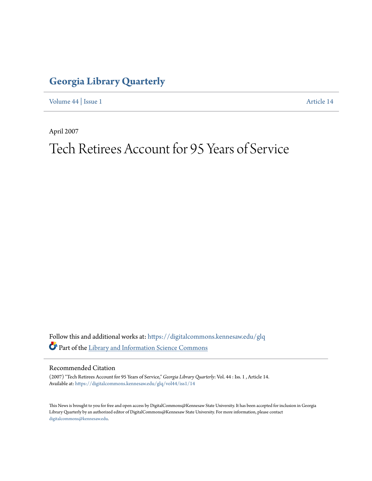## **[Georgia Library Quarterly](https://digitalcommons.kennesaw.edu/glq?utm_source=digitalcommons.kennesaw.edu%2Fglq%2Fvol44%2Fiss1%2F14&utm_medium=PDF&utm_campaign=PDFCoverPages)**

[Volume 44](https://digitalcommons.kennesaw.edu/glq/vol44?utm_source=digitalcommons.kennesaw.edu%2Fglq%2Fvol44%2Fiss1%2F14&utm_medium=PDF&utm_campaign=PDFCoverPages) | [Issue 1](https://digitalcommons.kennesaw.edu/glq/vol44/iss1?utm_source=digitalcommons.kennesaw.edu%2Fglq%2Fvol44%2Fiss1%2F14&utm_medium=PDF&utm_campaign=PDFCoverPages) [Article 14](https://digitalcommons.kennesaw.edu/glq/vol44/iss1/14?utm_source=digitalcommons.kennesaw.edu%2Fglq%2Fvol44%2Fiss1%2F14&utm_medium=PDF&utm_campaign=PDFCoverPages)

April 2007

## Tech Retirees Account for 95 Years of Service

Follow this and additional works at: [https://digitalcommons.kennesaw.edu/glq](https://digitalcommons.kennesaw.edu/glq?utm_source=digitalcommons.kennesaw.edu%2Fglq%2Fvol44%2Fiss1%2F14&utm_medium=PDF&utm_campaign=PDFCoverPages) Part of the [Library and Information Science Commons](http://network.bepress.com/hgg/discipline/1018?utm_source=digitalcommons.kennesaw.edu%2Fglq%2Fvol44%2Fiss1%2F14&utm_medium=PDF&utm_campaign=PDFCoverPages)

## Recommended Citation

(2007) "Tech Retirees Account for 95 Years of Service," *Georgia Library Quarterly*: Vol. 44 : Iss. 1 , Article 14. Available at: [https://digitalcommons.kennesaw.edu/glq/vol44/iss1/14](https://digitalcommons.kennesaw.edu/glq/vol44/iss1/14?utm_source=digitalcommons.kennesaw.edu%2Fglq%2Fvol44%2Fiss1%2F14&utm_medium=PDF&utm_campaign=PDFCoverPages)

This News is brought to you for free and open access by DigitalCommons@Kennesaw State University. It has been accepted for inclusion in Georgia Library Quarterly by an authorized editor of DigitalCommons@Kennesaw State University. For more information, please contact [digitalcommons@kennesaw.edu.](mailto:digitalcommons@kennesaw.edu)